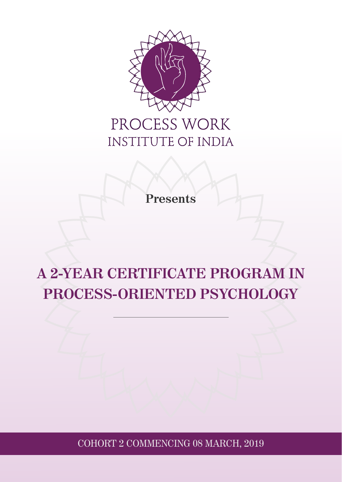

## PROCESS WORK INSTITUTE OF INDIA

**Presents**

# **A 2-YEAR CERTIFICATE PROGRAM IN PROCESS-ORIENTED PSYCHOLOGY**

COHORT 2 COMMENCING 08 MARCH, 2019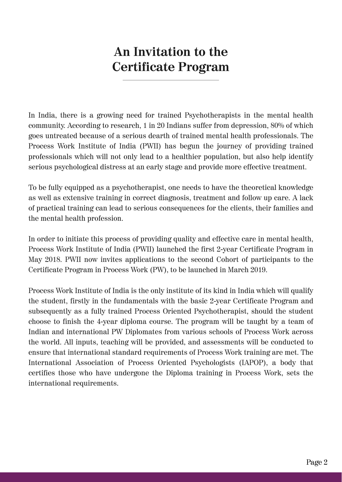## **An Invitation to the Certificate Program**

In India, there is a growing need for trained Psychotherapists in the mental health community. According to research, 1 in 20 Indians suffer from depression, 80% of which goes untreated because of a serious dearth of trained mental health professionals. The Process Work Institute of India (PWII) has begun the journey of providing trained professionals which will not only lead to a healthier population, but also help identify serious psychological distress at an early stage and provide more effective treatment.

To be fully equipped as a psychotherapist, one needs to have the theoretical knowledge as well as extensive training in correct diagnosis, treatment and follow up care. A lack of practical training can lead to serious consequences for the clients, their families and the mental health profession.

In order to initiate this process of providing quality and effective care in mental health, Process Work Institute of India (PWII) launched the first 2-year Certificate Program in May 2018. PWII now invites applications to the second Cohort of participants to the Certificate Program in Process Work (PW), to be launched in March 2019.

Process Work Institute of India is the only institute of its kind in India which will qualify the student, firstly in the fundamentals with the basic 2-year Certificate Program and subsequently as a fully trained Process Oriented Psychotherapist, should the student choose to finish the 4-year diploma course. The program will be taught by a team of Indian and international PW Diplomates from various schools of Process Work across the world. All inputs, teaching will be provided, and assessments will be conducted to ensure that international standard requirements of Process Work training are met. The International Association of Process Oriented Psychologists (IAPOP), a body that certifies those who have undergone the Diploma training in Process Work, sets the international requirements.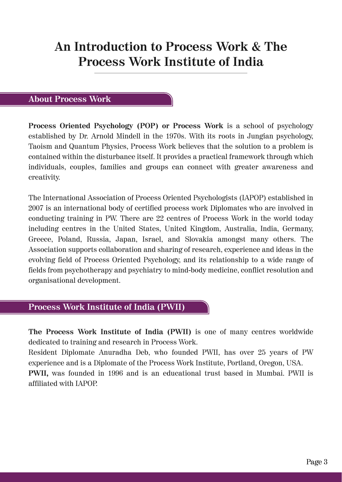## **An Introduction to Process Work & The Process Work Institute of India**

## **About Process Work**

**Process Oriented Psychology (POP) or Process Work** is a school of psychology established by Dr. Arnold Mindell in the 1970s. With its roots in Jungian psychology, Taoism and Quantum Physics, Process Work believes that the solution to a problem is contained within the disturbance itself. It provides a practical framework through which individuals, couples, families and groups can connect with greater awareness and creativity.

The International Association of Process Oriented Psychologists (IAPOP) established in 2007 is an international body of certified process work Diplomates who are involved in conducting training in PW. There are 22 centres of Process Work in the world today including centres in the United States, United Kingdom, Australia, India, Germany, Greece, Poland, Russia, Japan, Israel, and Slovakia amongst many others. The Association supports collaboration and sharing of research, experience and ideas in the evolving field of Process Oriented Psychology, and its relationship to a wide range of fields from psychotherapy and psychiatry to mind-body medicine, conflict resolution and organisational development.

## **Process Work Institute of India (PWII)**

**The Process Work Institute of India (PWII)** is one of many centres worldwide dedicated to training and research in Process Work.

Resident Diplomate Anuradha Deb, who founded PWII, has over 25 years of PW experience and is a Diplomate of the Process Work Institute, Portland, Oregon, USA. **PWII,** was founded in 1996 and is an educational trust based in Mumbai. PWII is affiliated with IAPOP.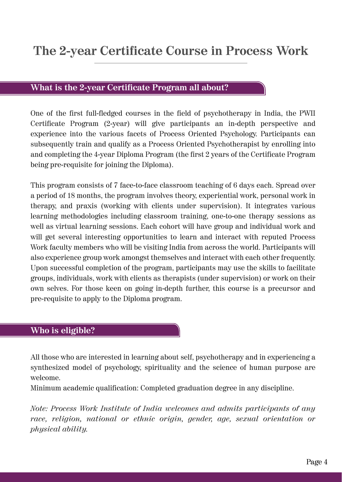## **What is the 2-year Certificate Program all about?**

One of the first full-fledged courses in the field of psychotherapy in India, the PWII Certificate Program (2-year) will give participants an in-depth perspective and experience into the various facets of Process Oriented Psychology. Participants can subsequently train and qualify as a Process Oriented Psychotherapist by enrolling into and completing the 4-year Diploma Program (the first 2 years of the Certificate Program being pre-requisite for joining the Diploma).

This program consists of 7 face-to-face classroom teaching of 6 days each. Spread over a period of 18 months, the program involves theory, experiential work, personal work in therapy, and praxis (working with clients under supervision). It integrates various learning methodologies including classroom training, one-to-one therapy sessions as well as virtual learning sessions. Each cohort will have group and individual work and will get several interesting opportunities to learn and interact with reputed Process Work faculty members who will be visiting India from across the world. Participants will also experience group work amongst themselves and interact with each other frequently. Upon successful completion of the program, participants may use the skills to facilitate groups, individuals, work with clients as therapists (under supervision) or work on their own selves. For those keen on going in-depth further, this course is a precursor and pre-requisite to apply to the Diploma program.

## **Who is eligible?**

All those who are interested in learning about self, psychotherapy and in experiencing a synthesized model of psychology, spirituality and the science of human purpose are welcome.

Minimum academic qualification: Completed graduation degree in any discipline.

*Note: Process Work Institute of India welcomes and admits participants of any race, religion, national or ethnic origin, gender, age, sexual orientation or physical ability.*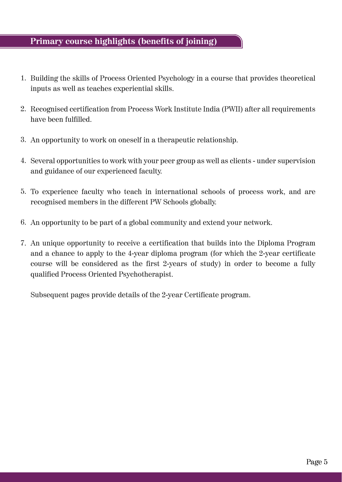## **Primary course highlights (benefits of joining)**

- 1. Building the skills of Process Oriented Psychology in a course that provides theoretical inputs as well as teaches experiential skills.
- Recognised certification from Process Work Institute India (PWII) after all requirements 2. have been fulfilled.
- An opportunity to work on oneself in a therapeutic relationship. 3.
- 4. Several opportunities to work with your peer group as well as clients under supervision and guidance of our experienced faculty.
- 5. To experience faculty who teach in international schools of process work, and are recognised members in the different PW Schools globally.
- An opportunity to be part of a global community and extend your network. 6.
- 7. An unique opportunity to receive a certification that builds into the Diploma Program and a chance to apply to the 4-year diploma program (for which the 2-year certificate course will be considered as the first 2-years of study) in order to become a fully qualified Process Oriented Psychotherapist.

Subsequent pages provide details of the 2-year Certificate program.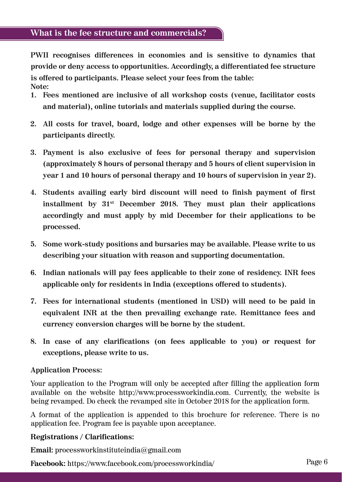**PWII recognises differences in economies and is sensitive to dynamics that provide or deny access to opportunities. Accordingly, a differentiated fee structure is offered to participants. Please select your fees from the table: Note:**

- **1. Fees mentioned are inclusive of all workshop costs (venue, facilitator costs and material), online tutorials and materials supplied during the course.**
- **2. All costs for travel, board, lodge and other expenses will be borne by the participants directly.**
- **3. Payment is also exclusive of fees for personal therapy and supervision (approximately 8 hours of personal therapy and 5 hours of client supervision in year 1 and 10 hours of personal therapy and 10 hours of supervision in year 2).**
- **4. Students availing early bird discount will need to finish payment of first installment by 31st December 2018. They must plan their applications accordingly and must apply by mid December for their applications to be processed.**
- **5. Some work-study positions and bursaries may be available. Please write to us describing your situation with reason and supporting documentation.**
- **6. Indian nationals will pay fees applicable to their zone of residency. INR fees applicable only for residents in India (exceptions offered to students).**
- **7. Fees for international students (mentioned in USD) will need to be paid in equivalent INR at the then prevailing exchange rate. Remittance fees and currency conversion charges will be borne by the student.**
- **8. In case of any clarifications (on fees applicable to you) or request for exceptions, please write to us.**

## **Application Process:**

Your application to the Program will only be accepted after filling the application form available on the website http://www.processworkindia.com. Currently, the website is being revamped. Do check the revamped site in October 2018 for the application form.

A format of the application is appended to this brochure for reference. There is no application fee. Program fee is payable upon acceptance.

## **Registrations / Clarifications:**

**Email:** processworkinstituteindia@gmail.com

**Facebook:** https://www.facebook.com/processworkindia/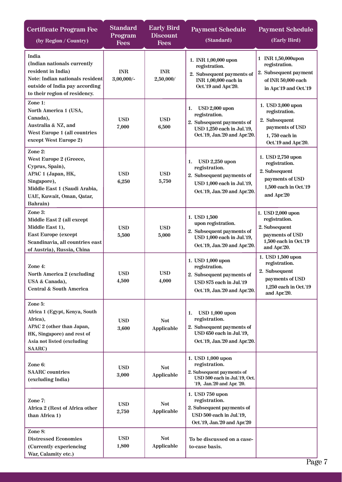| <b>Certificate Program Fee</b><br>(by Region / Country)                                                                                                            | <b>Standard</b><br>Program<br><b>Fees</b> | <b>Early Bird</b><br><b>Discount</b><br><b>Fees</b> | <b>Payment Schedule</b><br>(Standard)                                                                                                    | <b>Payment Schedule</b><br>(Early Bird)                                                                         |
|--------------------------------------------------------------------------------------------------------------------------------------------------------------------|-------------------------------------------|-----------------------------------------------------|------------------------------------------------------------------------------------------------------------------------------------------|-----------------------------------------------------------------------------------------------------------------|
| India<br>(Indian nationals currently<br>resident in India)<br>Note: Indian nationals resident<br>outside of India pay according<br>to their region of residency.   | <b>INR</b><br>$3,00,000/$ -               | $\ensuremath{\text{INR}}$<br>2,50,000/              | 1. INR 1,00,000 upon<br>registration.<br>2. Subsequent payments of<br>INR 1,00,000 each in<br>Oct.'19 and Apr.'20.                       | 1 INR 1,50,000upon<br>registration.<br>2. Subsequent payment<br>of INR 50,000 each<br>in Apr.'19 and Oct.'19    |
| Zone 1:<br>North America 1 (USA,<br>Canada),<br>Australia & NZ, and<br>West Europe 1 (all countries<br>except West Europe 2)                                       | <b>USD</b><br>7,000                       | <b>USD</b><br>6,500                                 | $USD 2,000$ upon<br>1.<br>registration.<br>2. Subsequent payments of<br>USD 1,250 each in Jul.'19,<br>Oct.'19, Jan.'20 and Apr.'20.      | 1. USD 3,000 upon<br>registration.<br>2. Subsequent<br>payments of USD<br>1,750 each in<br>Oct.'19 and Apr.'20. |
| Zone 2:<br>West Europe 2 (Greece,<br>Cyprus, Spain),<br>APAC 1 (Japan, HK,<br>Singapore),<br>Middle East 1 (Saudi Arabia,<br>UAE, Kuwait, Oman, Qatar,<br>Bahrain) | <b>USD</b><br>6,250                       | <b>USD</b><br>5,750                                 | <b>USD 2,250 upon</b><br>1.<br>registration.<br>2. Subsequent payments of<br>USD 1,000 each in Jul.'19,<br>Oct.'19, Jan.'20 and Apr.'20. | 1. USD 2,750 upon<br>registration.<br>2. Subsequent<br>payments of USD<br>1,500 each in Oct.'19<br>and Apr.'20  |
| Zone 3:<br>Middle East 2 (all except<br>Middle East 1),<br><b>East Europe (except</b><br>Scandinavia, all countries east<br>of Austria), Russia, China             | <b>USD</b><br>5,500                       | <b>USD</b><br>5,000                                 | 1. USD 1,500<br>upon registration.<br>2. Subsequent payments of<br>USD 1,000 each in Jul.'19,<br>Oct.'19, Jan.'20 and Apr.'20.           | 1. USD 2,000 upon<br>registration.<br>2. Subsequent<br>payments of USD<br>1,500 each in Oct.'19<br>and Apr.'20. |
| Zone 4:<br>North America 2 (excluding<br>USA & Canada),<br><b>Central &amp; South America</b>                                                                      | <b>USD</b><br>4,500                       | <b>USD</b><br>4,000                                 | 1. USD 1,000 upon<br>registration.<br>2. Subsequent payments of<br>USD 875 each in Jul.'19<br>Oct.'19, Jan.'20 and Apr.'20.              | 1. USD 1,500 upon<br>registration.<br>2. Subsequent<br>payments of USD<br>1,250 each in Oct.'19<br>and Apr.'20. |
| Zone 5:<br>Africa 1 (Egypt, Kenya, South<br>Africa),<br>APAC 2 (other than Japan,<br>HK, Singapore) and rest of<br>Asia not listed (excluding<br>SAARC)            | <b>USD</b><br>3,600                       | <b>Not</b><br>Applicable                            | <b>USD 1,000 upon</b><br>1.<br>registration.<br>2. Subsequent payments of<br>USD 650 each in Jul.'19,<br>Oct.'19, Jan.'20 and Apr.'20.   |                                                                                                                 |
| Zone 6:<br><b>SAARC</b> countries<br>(excluding India)                                                                                                             | <b>USD</b><br>3,000                       | <b>Not</b><br>Applicable                            | 1. USD 1,000 upon<br>registration.<br>2. Subsequent payments of<br>USD 500 each in Jul.'19, Oct.<br>'19, Jan.'20 and Apr. '20.           |                                                                                                                 |
| Zone 7:<br>Africa 2 (Rest of Africa other<br>than Africa 1)                                                                                                        | <b>USD</b><br>2,750                       | <b>Not</b><br>Applicable                            | 1. USD 750 upon<br>registration.<br>2. Subsequent payments of<br>USD 500 each in Jul.'19,<br>Oct.'19, Jan.'20 and Apr.'20                |                                                                                                                 |
| Zone 8:<br><b>Distressed Economies</b><br>(Currently experiencing<br>War, Calamity etc.)                                                                           | <b>USD</b><br>1,800                       | <b>Not</b><br>Applicable                            | To be discussed on a case-<br>to-case basis.                                                                                             |                                                                                                                 |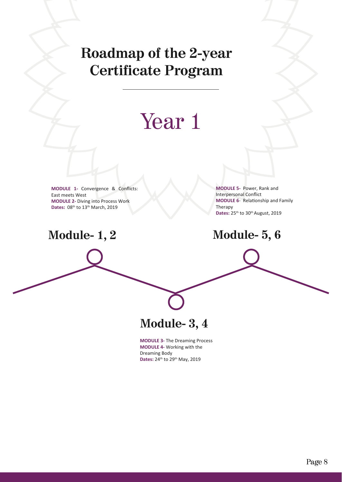## **Roadmap of the 2-year Certificate Program**

# Year<sub>1</sub>

**MODULE 1-** Convergence & Conflicts: East meets West **MODULE 2-** Diving into Process Work Dates: 08<sup>th</sup> to 13<sup>th</sup> March, 2019

**Module- 1, 2**

**MODULE 5-** Power, Rank and Interpersonal Conflict **MODULE 6- Relationship and Family** Therapy Dates: 25<sup>th</sup> to 30<sup>th</sup> August, 2019

**Module- 5, 6**

**Module- 3, 4**

**MODULE 3-** The Dreaming Process **MODULE 4-** Working with the Dreaming Body Dates: 24<sup>th</sup> to 29<sup>th</sup> May, 2019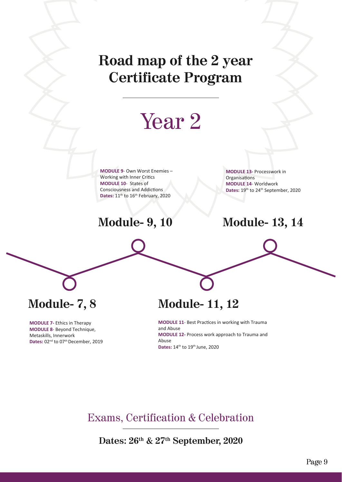## **Road map of the 2 year Certificate Program**

# Year 2

**MODULE 9**- Own Worst Enemies – Working with Inner Critics **MODULE 10**- States of Consciousness and Addictions Dates: 11<sup>th</sup> to 16<sup>th</sup> February, 2020

**MODULE 13-** Processwork in **Organisations MODULE 14**- Worldwork Dates: 19<sup>th</sup> to 24<sup>th</sup> September, 2020

## **Module- 9, 10 Module- 13, 14**

**Module- 7, 8**

**MODULE 7-** Ethics in Therapy **MODULE 8**- Beyond Technique, Metaskills, Innerwork Dates: 02<sup>nd</sup> to 07<sup>th</sup> December, 2019

## **Module- 11, 12**

**MODULE 11- Best Practices in working with Trauma** and Abuse **MODULE 12-** Process work approach to Trauma and Abuse Dates: 14<sup>th</sup> to 19<sup>th</sup> June, 2020

Exams, Certification & Celebration

**Dates: 26th & 27th September, 2020**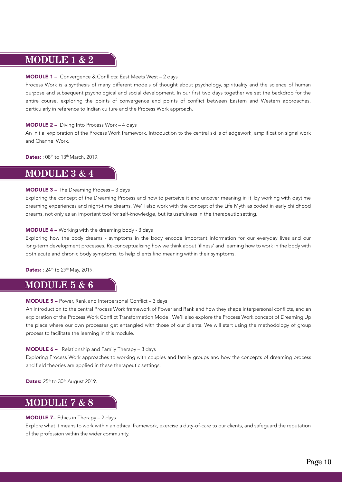## **MODULE 1 & 2**

#### MODULE 1 – Convergence & Conflicts: East Meets West – 2 days

Process Work is a synthesis of many different models of thought about psychology, spirituality and the science of human purpose and subsequent psychological and social development. In our first two days together we set the backdrop for the entire course, exploring the points of convergence and points of conflict between Eastern and Western approaches, particularly in reference to Indian culture and the Process Work approach.

#### MODULE 2 – Diving Into Process Work – 4 days

An initial exploration of the Process Work framework. Introduction to the central skills of edgework, amplification signal work and Channel Work.

**Dates:** : 08<sup>th</sup> to 13<sup>th</sup> March, 2019.

## **MODULE 3 & 4**

#### MODULE 3 – The Dreaming Process – 3 days

Exploring the concept of the Dreaming Process and how to perceive it and uncover meaning in it, by working with daytime dreaming experiences and night-time dreams. We'll also work with the concept of the Life Myth as coded in early childhood dreams, not only as an important tool for self-knowledge, but its usefulness in the therapeutic setting.

#### MODULE 4 – Working with the dreaming body - 3 days

Exploring how the body dreams - symptoms in the body encode important information for our everyday lives and our long-term development processes. Re-conceptualising how we think about 'illness' and learning how to work in the body with both acute and chronic body symptoms, to help clients find meaning within their symptoms.

**Dates:** : 24<sup>th</sup> to 29<sup>th</sup> May, 2019.

## **MODULE 5 & 6**

#### MODULE 5 – Power, Rank and Interpersonal Conflict – 3 days

An introduction to the central Process Work framework of Power and Rank and how they shape interpersonal conflicts, and an exploration of the Process Work Conflict Transformation Model. We'll also explore the Process Work concept of Dreaming Up the place where our own processes get entangled with those of our clients. We will start using the methodology of group process to facilitate the learning in this module.

#### MODULE 6 – Relationship and Family Therapy – 3 days

Exploring Process Work approaches to working with couples and family groups and how the concepts of dreaming process and field theories are applied in these therapeutic settings.

Dates: 25th to 30th August 2019.

## **MODULE 7 & 8**

#### MODULE 7– Ethics in Therapy – 2 days

Explore what it means to work within an ethical framework, exercise a duty-of-care to our clients, and safeguard the reputation of the profession within the wider community.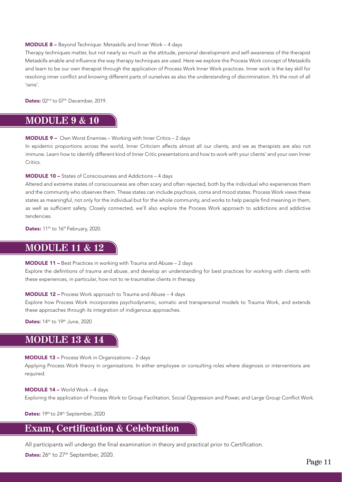#### MODULE 8 – Beyond Technique: Metaskills and Inner Work – 4 days

Therapy techniques matter, but not nearly so much as the attitude, personal development and self-awareness of the therapist Metaskills enable and influence the way therapy techniques are used. Here we explore the Process Work concept of Metaskills and learn to be our own therapist through the application of Process Work Inner Work practices. Inner work is the key skill for resolving inner conflict and knowing different parts of ourselves as also the understanding of discrimination. It's the root of all 'isms'.

Dates: 02<sup>nd</sup> to 07<sup>th</sup> December, 2019.

## **MODULE 9 & 10**

#### MODULE 9 – Own Worst Enemies – Working with Inner Critics – 2 days

In epidemic proportions across the world, Inner Criticism affects almost all our clients, and we as therapists are also not immune. Learn how to identify different kind of Inner Critic presentations and how to work with your clients' and your own Inner Critics.

#### MODULE 10 – States of Consciousness and Addictions – 4 days

Altered and extreme states of consciousness are often scary and often rejected, both by the individual who experiences them and the community who observes them. These states can include psychosis, coma and mood states. Process Work views these states as meaningful, not only for the individual but for the whole community, and works to help people find meaning in them, as well as sufficient safety. Closely connected, we'll also explore the Process Work approach to addictions and addictive tendencies.

Dates: 11<sup>th</sup> to 16<sup>th</sup> February, 2020.

## **MODULE 11 & 12**

#### MODULE 11 – Best Practices in working with Trauma and Abuse – 2 days

Explore the definitions of trauma and abuse, and develop an understanding for best practices for working with clients with these experiences, in particular, how not to re-traumatise clients in therapy.

#### MODULE 12 – Process Work approach to Trauma and Abuse – 4 days

Explore how Process Work incorporates psychodynamic, somatic and transpersonal models to Trauma Work, and extends these approaches through its integration of indigenous approaches.

Dates: 14th to 19th June, 2020

## **MODULE 13 & 14**

#### MODULE 13 – Process Work in Organizations – 2 days

Applying Process Work theory in organisations. In either employee or consulting roles where diagnosis or interventions are required.

#### MODULE 14 – World Work – 4 days

Exploring the application of Process Work to Group Facilitation, Social Oppression and Power, and Large Group Conflict Work.

Dates: 19th to 24th September, 2020

## **Exam, Certification & Celebration**

All participants will undergo the final examination in theory and practical prior to Certification.

Dates: 26th to 27th September, 2020.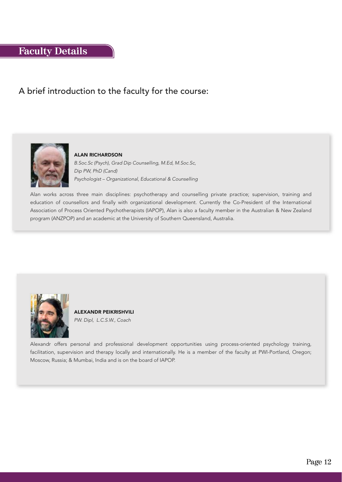## **Faculty Details**

## A brief introduction to the faculty for the course:



#### ALAN RICHARDSON

B.Soc.Sc (Psych), Grad Dip Counselling, M.Ed, M.Soc.Sc, Dip PW, PhD (Cand) Psychologist – Organizational, Educational & Counselling

Alan works across three main disciplines: psychotherapy and counselling private practice; supervision, training and education of counsellors and finally with organizational development. Currently the Co-President of the International Association of Process Oriented Psychotherapists (IAPOP), Alan is also a faculty member in the Australian & New Zealand program (ANZPOP) and an academic at the University of Southern Queensland, Australia.



ALEXANDR PEIKRISHVILI PW. Dipl, L.C.S.W., Coach

Alexandr offers personal and professional development opportunities using process-oriented psychology training, facilitation, supervision and therapy locally and internationally. He is a member of the faculty at PWI-Portland, Oregon; Moscow, Russia; & Mumbai, India and is on the board of IAPOP.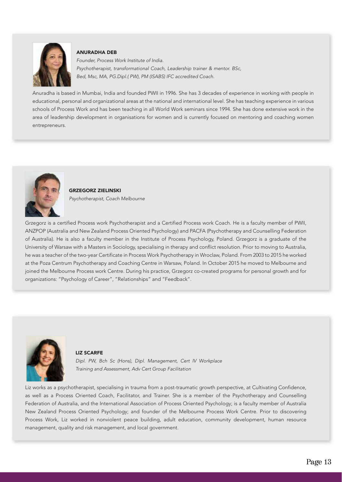

#### ANURADHA DEB

Founder, Process Work Institute of India. Psychotherapist, transformational Coach, Leadership trainer & mentor. BSc, Bed, Msc, MA, PG.Dipl.( PW), PM (ISABS) IFC accredited Coach.

Anuradha is based in Mumbai, India and founded PWII in 1996. She has 3 decades of experience in working with people in educational, personal and organizational areas at the national and international level. She has teaching experience in various schools of Process Work and has been teaching in all World Work seminars since 1994. She has done extensive work in the area of leadership development in organisations for women and is currently focused on mentoring and coaching women entrepreneurs.



GRZEGORZ ZIELINSKI Psychotherapist, Coach Melbourne

Grzegorz is a certified Process work Psychotherapist and a Certified Process work Coach. He is a faculty member of PWII, ANZPOP (Australia and New Zealand Process Oriented Psychology) and PACFA (Psychotherapy and Counselling Federation of Australia). He is also a faculty member in the Institute of Process Psychology, Poland. Grzegorz is a graduate of the University of Warsaw with a Masters in Sociology, specialising in therapy and conflict resolution. Prior to moving to Australia, he was a teacher of the two-year Certificate in Process Work Psychotherapy in Wroclaw, Poland. From 2003 to 2015 he worked at the Poza Centrum Psychotherapy and Coaching Centre in Warsaw, Poland. In October 2015 he moved to Melbourne and joined the Melbourne Process work Centre. During his practice, Grzegorz co-created programs for personal growth and for organizations: "Psychology of Career", "Relationships" and "Feedback".



#### LIZ SCARFE

Dipl. PW, Bch Sc (Hons), Dipl. Management, Cert IV Workplace Training and Assessment, Adv Cert Group Facilitation

Liz works as a psychotherapist, specialising in trauma from a post-traumatic growth perspective, at Cultivating Confidence, as well as a Process Oriented Coach, Facilitator, and Trainer. She is a member of the Psychotherapy and Counselling Federation of Australia, and the International Association of Process Oriented Psychology; is a faculty member of Australia New Zealand Process Oriented Psychology; and founder of the Melbourne Process Work Centre. Prior to discovering Process Work, Liz worked in nonviolent peace building, adult education, community development, human resource management, quality and risk management, and local government.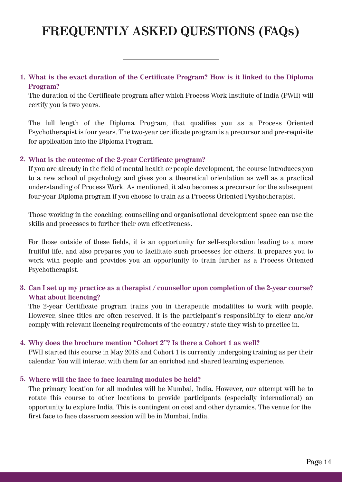## **FREQUENTLY ASKED QUESTIONS (FAQs)**

### **What is the exact duration of the Certificate Program? How is it linked to the Diploma 1. Program?**

The duration of the Certificate program after which Process Work Institute of India (PWII) will certify you is two years.

The full length of the Diploma Program, that qualifies you as a Process Oriented Psychotherapist is four years. The two-year certificate program is a precursor and pre-requisite for application into the Diploma Program.

### **What is the outcome of the 2-year Certificate program? 2.**

If you are already in the field of mental health or people development, the course introduces you to a new school of psychology and gives you a theoretical orientation as well as a practical understanding of Process Work. As mentioned, it also becomes a precursor for the subsequent four-year Diploma program if you choose to train as a Process Oriented Psychotherapist.

Those working in the coaching, counselling and organisational development space can use the skills and processes to further their own effectiveness.

For those outside of these fields, it is an opportunity for self-exploration leading to a more fruitful life, and also prepares you to facilitate such processes for others. It prepares you to work with people and provides you an opportunity to train further as a Process Oriented Psychotherapist.

## **Can I set up my practice as a therapist / counsellor upon completion of the 2-year course? 3. What about licencing?**

The 2-year Certificate program trains you in therapeutic modalities to work with people. However, since titles are often reserved, it is the participant's responsibility to clear and/or comply with relevant licencing requirements of the country / state they wish to practice in.

### **Why does the brochure mention "Cohort 2"? Is there a Cohort 1 as well? 4.**

PWII started this course in May 2018 and Cohort 1 is currently undergoing training as per their calendar. You will interact with them for an enriched and shared learning experience.

### **Where will the face to face learning modules be held? 5.**

The primary location for all modules will be Mumbai, India. However, our attempt will be to rotate this course to other locations to provide participants (especially international) an opportunity to explore India. This is contingent on cost and other dynamics. The venue for the first face to face classroom session will be in Mumbai, India.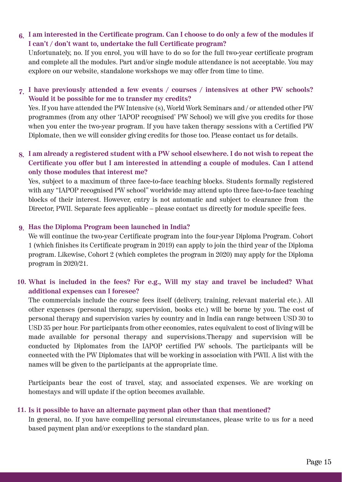### **I am interested in the Certificate program. Can I choose to do only a few of the modules if 6. I can't / don't want to, undertake the full Certificate program?**

Unfortunately, no. If you enrol, you will have to do so for the full two-year certificate program and complete all the modules. Part and/or single module attendance is not acceptable. You may explore on our website, standalone workshops we may offer from time to time.

### **I have previously attended a few events / courses / intensives at other PW schools? 7. Would it be possible for me to transfer my credits?**

Yes. If you have attended the PW Intensive (s), World Work Seminars and / or attended other PW programmes (from any other 'IAPOP recognised' PW School) we will give you credits for those when you enter the two-year program. If you have taken therapy sessions with a Certified PW Diplomate, then we will consider giving credits for those too. Please contact us for details.

## **I am already a registered student with a PW school elsewhere. I do not wish to repeat the 8. Certificate you offer but I am interested in attending a couple of modules. Can I attend only those modules that interest me?**

Yes, subject to a maximum of three face-to-face teaching blocks. Students formally registered with any "IAPOP recognised PW school" worldwide may attend upto three face-to-face teaching blocks of their interest. However, entry is not automatic and subject to clearance from the Director, PWII. Separate fees applicable – please contact us directly for module specific fees.

## **Has the Diploma Program been launched in India? 9.**

We will continue the two-year Certificate program into the four-year Diploma Program. Cohort 1 (which finishes its Certificate program in 2019) can apply to join the third year of the Diploma program. Likewise, Cohort 2 (which completes the program in 2020) may apply for the Diploma program in 2020/21.

## **What is included in the fees? For e.g., Will my stay and travel be included? What 10. additional expenses can I foresee?**

The commercials include the course fees itself (delivery, training, relevant material etc.). All other expenses (personal therapy, supervision, books etc.) will be borne by you. The cost of personal therapy and supervision varies by country and in India can range between USD 30 to USD 35 per hour. For participants from other economies, rates equivalent to cost of living will be made available for personal therapy and supervisions.Therapy and supervision will be conducted by Diplomates from the IAPOP certified PW schools. The participants will be connected with the PW Diplomates that will be working in association with PWII. A list with the names will be given to the participants at the appropriate time.

Participants bear the cost of travel, stay, and associated expenses. We are working on homestays and will update if the option becomes available.

### **Is it possible to have an alternate payment plan other than that mentioned? 11.**

In general, no. If you have compelling personal circumstances, please write to us for a need based payment plan and/or exceptions to the standard plan.